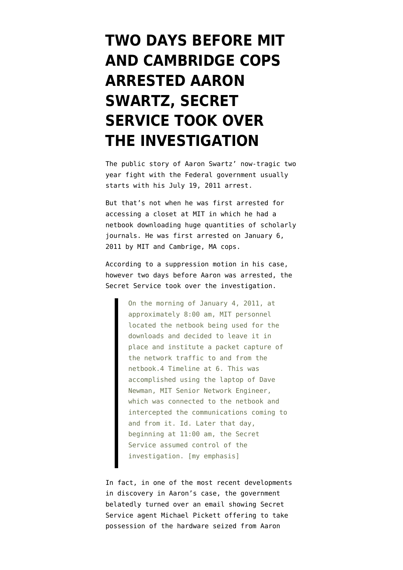## **[TWO DAYS BEFORE MIT](https://www.emptywheel.net/2013/01/13/two-days-before-cambridge-cops-arrested-aaron-swartz-secret-service-took-over-the-investigation/) [AND CAMBRIDGE COPS](https://www.emptywheel.net/2013/01/13/two-days-before-cambridge-cops-arrested-aaron-swartz-secret-service-took-over-the-investigation/) [ARRESTED AARON](https://www.emptywheel.net/2013/01/13/two-days-before-cambridge-cops-arrested-aaron-swartz-secret-service-took-over-the-investigation/) [SWARTZ, SECRET](https://www.emptywheel.net/2013/01/13/two-days-before-cambridge-cops-arrested-aaron-swartz-secret-service-took-over-the-investigation/) [SERVICE TOOK OVER](https://www.emptywheel.net/2013/01/13/two-days-before-cambridge-cops-arrested-aaron-swartz-secret-service-took-over-the-investigation/) [THE INVESTIGATION](https://www.emptywheel.net/2013/01/13/two-days-before-cambridge-cops-arrested-aaron-swartz-secret-service-took-over-the-investigation/)**

The public story of Aaron Swartz' now-tragic two year fight with the Federal government [usually](http://www.wired.com/threatlevel/2011/07/swartz-arrest/) [starts](http://www.wired.com/threatlevel/2011/07/swartz-arrest/) with his July 19, 2011 arrest.

But that's not when he was first arrested for accessing a closet at MIT in which he had a netbook downloading huge quantities of scholarly journals. He was first [arrested](http://www.emptywheel.net/wp-content/uploads/2013/01/gov.uscourts.mad_.137971.81.19.pdf) on January 6, 2011 [by MIT](http://webcache.googleusercontent.com/search?q=cache:http://tech.mit.edu/V131/N6/polog.html) and Cambrige, MA cops.

According to a suppression motion in his case, however two days before Aaron was arrested, the [Secret Service took over the investigation](http://www.emptywheel.net/wp-content/uploads/2013/01/gov.uscourts.mad_.137971.59.0.pdf).

> On the morning of January 4, 2011, at approximately 8:00 am, MIT personnel located the netbook being used for the downloads and decided to leave it in place and institute a packet capture of the network traffic to and from the netbook.4 Timeline at 6. This was accomplished using the laptop of Dave Newman, MIT Senior Network Engineer, which was connected to the netbook and intercepted the communications coming to and from it. Id. Later that day, beginning at 11:00 am, the Secret Service assumed control of the investigation. [my emphasis]

In fact, in one of the most recent developments in discovery in Aaron's case, the government belatedly turned over an email showing Secret Service agent Michael Pickett offering to take possession of the hardware seized from Aaron